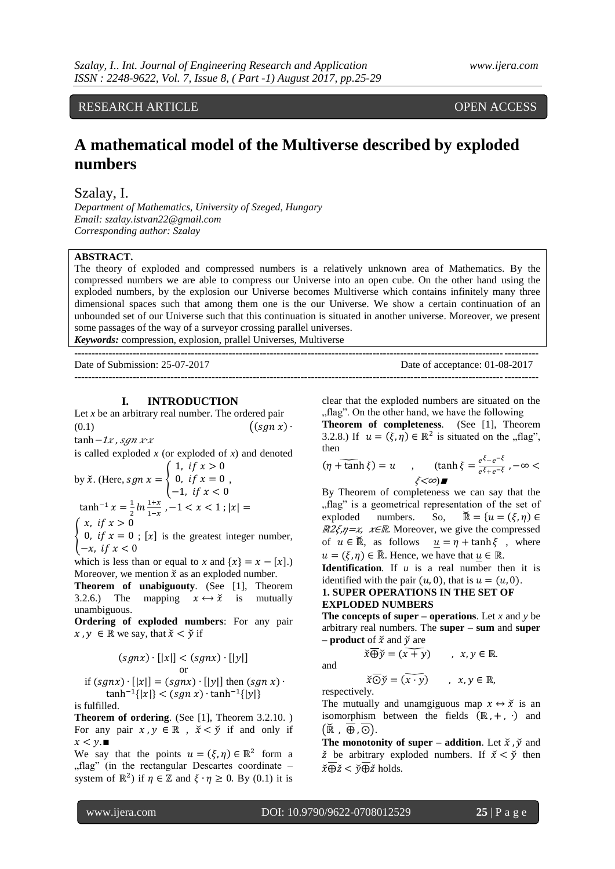## RESEARCH ARTICLE OPEN ACCESS

# **A mathematical model of the Multiverse described by exploded numbers**

#### Szalay, I.

*Department of Mathematics, University of Szeged, Hungary Email: szalay.istvan22@gmail.com Corresponding author: Szalay*

### **ABSTRACT.**

The theory of exploded and compressed numbers is a relatively unknown area of Mathematics. By the compressed numbers we are able to compress our Universe into an open cube. On the other hand using the exploded numbers, by the explosion our Universe becomes Multiverse which contains infinitely many three dimensional spaces such that among them one is the our Universe. We show a certain continuation of an unbounded set of our Universe such that this continuation is situated in another universe. Moreover, we present some passages of the way of a surveyor crossing parallel universes.

*Keywords:* compression, explosion, prallel Universes, Multiverse

| Date of Submission: $25-07-2017$ | Date of acceptance: 01-08-2017 |
|----------------------------------|--------------------------------|
|                                  |                                |

#### **I. INTRODUCTION**

Let *x* be an arbitrary real number. The ordered pair  $((sgn x)$ . (0.1)

tanh  $-1x$ , sgn x x

is called exploded *x* (or exploded of *x*) and denoted  $(1.$  if  $x > 0$ 

by 
$$
\check{x}
$$
. (Here,  $sgn x = \begin{cases} 0, & \text{if } x = 0 \\ -1, & \text{if } x < 0 \end{cases}$ ,  
\n $\tanh^{-1} x = \frac{1}{2} \ln \frac{1+x}{1-x}, -1 < x < 1$ ;  $|x| = \begin{cases} x, & \text{if } x > 0 \\ 0, & \text{if } x = 0 \end{cases}$ .

₹ 0, if  $x = 0$ ; [x] is the greatest integer number,  $-x$ 

which is less than or equal to *x* and  $\{x\} = x - [x]$ .) Moreover, we mention  $\check{x}$  as an exploded number.

**Theorem of unabiguouty***.* (See [1], Theorem 3.2.6.) The mapping  $x \leftrightarrow \tilde{x}$  is mutually unambiguous.

**Ordering of exploded numbers**: For any pair  $x, y \in \mathbb{R}$  we say, that  $\check{x} < \check{y}$  if

$$
(sgnx) \cdot [|x|] < (sgnx) \cdot [|y|]
$$
 or

$$
\text{if } (sgnx) \cdot [|x|] = (sgnx) \cdot [|y|] \text{ then } (sgn x) \cdot \tanh^{-1}\{|x|\} < (sgn x) \cdot \tanh^{-1}\{|y|\}
$$

is fulfilled.

**Theorem of ordering.** (See [1], Theorem 3.2.10.) For any pair  $x, y \in \mathbb{R}$ ,  $\check{x} < \check{y}$  if and only if  $x < v.$ 

We say that the points  $u = (\xi, \eta) \in \mathbb{R}^2$  form a "flag" (in the rectangular Descartes coordinate  $$ system of  $\mathbb{R}^2$ ) if  $\eta \in \mathbb{Z}$  and  $\xi \cdot \eta \ge 0$ . By (0.1) it is

clear that the exploded numbers are situated on the "flag". On the other hand, we have the following

**Theorem of completeness***.* (See [1], Theorem 3.2.8.) If  $u = (\xi, \eta) \in \mathbb{R}^2$  is situated on the , flag", then

 $(\eta + \tanh \xi) = u$  $e^{\xi}-e^ \frac{e^{z-e^{-t}}}{e^{\xi}+e^{-\xi}}$ ,  $-\infty$  $\xi<\infty$ )

By Theorem of completeness we can say that the "flag" is a geometrical representation of the set of exploded numbers. So,  $\widetilde{\mathbb{R}} = \{u = (\xi, \eta) \in$  $\mathbb{R}2\xi\eta = x$ ,  $x \in \mathbb{R}$ . Moreover, we give the compressed of  $u \in \mathbb{R}$ , as follows  $u = \eta + \tanh \xi$ , where  $u = (\xi, \eta) \in \mathbb{R}$ . Hence, we have that  $u \in \mathbb{R}$ .

**Identification***.* If *u* is a real number then it is identified with the pair  $(u, 0)$ , that is  $u = (u, 0)$ .

**1. SUPER OPERATIONS IN THE SET OF** 

#### **EXPLODED NUMBERS**

**The concepts of super – operations**. Let *x* and *y* be arbitrary real numbers. The **super – sum** and **super – product** of  $\check{x}$  and  $\check{v}$  are

 $\overline{\dot{x}} \overline{\bigoplus} \tilde{y} = (\overline{x+y})$ ,  $x, y \in \mathbb{R}$ .

and

$$
\overline{\check{x}\odot\check{y}} = \widetilde{(x\cdot\check{y})} \qquad , \ x,y\in\mathbb{R},
$$

respectively.

The mutually and unamgiguous map  $x \leftrightarrow \tilde{x}$  is an isomorphism between the fields  $(\mathbb{R}, +, \cdot)$  and  $(\overline{\mathbb{R}}, \overline{\oplus}, \overline{\odot}).$ 

**The monotonity of super – addition.** Let  $\check{x}$ ,  $\check{y}$  and  $\check{z}$  be arbitrary exploded numbers. If  $\check{x} < \check{y}$  then  $\overline{\check{x}\oplus\check{z}} < \overline{\check{v}\oplus\check{z}}$  holds.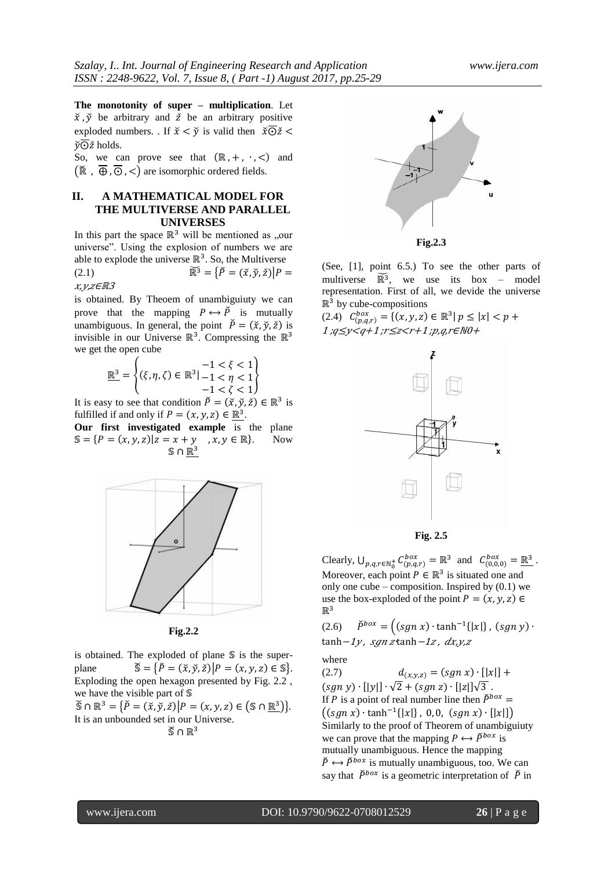**The monotonity of super – multiplication**. Let  $\check{x}$ ,  $\check{y}$  be arbitrary and  $\check{z}$  be an arbitrary positive exploded numbers. If  $\check{x} \leq \check{y}$  is valid then  $\check{x} \overline{\odot} \check{z}$  $\overline{\mathbf{v}} \overline{\boldsymbol{\Theta}} \mathbf{z}$  holds.

So, we can prove see that  $(\mathbb{R}, +, \cdot, <)$  and  $(\overline{\mathbb{R}}, \overline{\Theta}, \overline{\Theta}, \overline{\Theta})$  are isomorphic ordered fields.

### **II. A MATHEMATICAL MODEL FOR THE MULTIVERSE AND PARALLEL UNIVERSES**

In this part the space  $\mathbb{R}^3$  will be mentioned as "our universe". Using the explosion of numbers we are able to explode the universe  $\mathbb{R}^3$ . So, the Multiverse

(2.1) 
$$
\overline{\mathbb{R}^3} = {\overline{P} = (\tilde{x}, \tilde{y}, \tilde{z}) | P =
$$

$$
x, y, z \in \mathbb{R}^3
$$

is obtained. By Theoem of unambiguiuty we can prove that the mapping  $P \leftrightarrow \check{P}$  is mutually unambiguous. In general, the point  $\check{P} = (\check{x}, \check{y}, \check{z})$  is invisible in our Universe  $\mathbb{R}^3$ . Compressing the  $\mathbb{R}^3$ we get the open cube

$$
\underline{\mathbb{R}^3} = \begin{cases} -1 < \xi < 1\\ (\xi, \eta, \zeta) \in \mathbb{R}^3 \, | -1 < \eta < 1\\ -1 < \zeta < 1 \end{cases}
$$

It is easy to see that condition  $\check{P} = (\check{x}, \check{y}, \check{z}) \in \mathbb{R}^3$  is fulfilled if and only if  $P = (x, y, z) \in \mathbb{R}^3$ .

**Our first investigated example** is the plane  $\mathbb{S} = \{ P = (x, y, z) | z = x + y \, , x, y \in \mathbb{R} \}.$  Now  $\mathbb{S} \cap \underline{\mathbb{R}}^3$ 



**Fig.2.2**

is obtained. The exploded of plane  $\mathcal S$  is the superplane  $\widetilde{\mathbb{S}} = {\widetilde{P} = (\widetilde{x}, \widetilde{y}, \widetilde{z}) | P = (x, y, z) \in \mathbb{S}}.$ Exploding the open hexagon presented by Fig. 2.2 , we have the visible part of  $\mathcal S$ 

 $\mathfrak{S} \cap \mathbb{R}^3 = \{ \check{P} = (\check{x}, \check{y}, \check{z}) \big| P = (x, y, z) \in \left( \mathbb{S} \cap \mathbb{R}^3 \right)$ It is an unbounded set in our Universe.  $\mathbb{\breve{S}} \cap \mathbb{R}^3$ 



**Fig.2.3**

(See, [1], point 6.5.) To see the other parts of multiverse  $\widetilde{\mathbb{R}^3}$ , we use its box – model representation. First of all, we devide the universe  $\mathbb{R}^3$  by cube-compositions

 $(2.4)$   $C_{(n, q, r)}^{box} = \{(x, y, z) \in \mathbb{R}^3 \}$  $1; q \leq y < q+1; r \leq z < r+1; p, q, r \in \mathbb{N}0+$ 



**Fig. 2.5**

Clearly,  $\bigcup_{p,q,r \in \mathbb{N}_0^+} C_{(p,q,r)}^{box} = \mathbb{R}^3$  and  $C_{(0,0,0)}^{box} = \underline{\mathbb{R}^3}$ . Moreover, each point  $P \in \mathbb{R}^3$  is situated one and only one cube – composition. Inspired by  $(0.1)$  we use the box-exploded of the point  $P = (x, y, z) \in$  $\mathbb{R}^3$ 

 $(2.6)$   $\check{P}^{box} = ((sgn x) \cdot \tanh^{-1}\{$ tanh-1y, sgn ztanh-1z,  $dx, y, z$ 

where

 $d_{(x,y,z)} = (sgn x) \cdot [|x|] +$ (2.7)  $(sgn y)$   $\cdot$   $\vert \vert y \vert \vert \cdot \sqrt{2} + (sgn z) \cdot \vert \vert z \vert \vert \sqrt{3}$ . If P is a point of real number line then  $\check{P}^{box}$  =  $((sgn x) \cdot \tanh^{-1}\{$ Similarly to the proof of Theorem of unambiguiuty we can prove that the mapping  $P \leftrightarrow \check{P}^{box}$  is mutually unambiguous. Hence the mapping  $\check{P} \leftrightarrow \check{P}^{box}$  is mutually unambiguous, too. We can say that  $\tilde{P}^{box}$  is a geometric interpretation of  $\tilde{P}$  in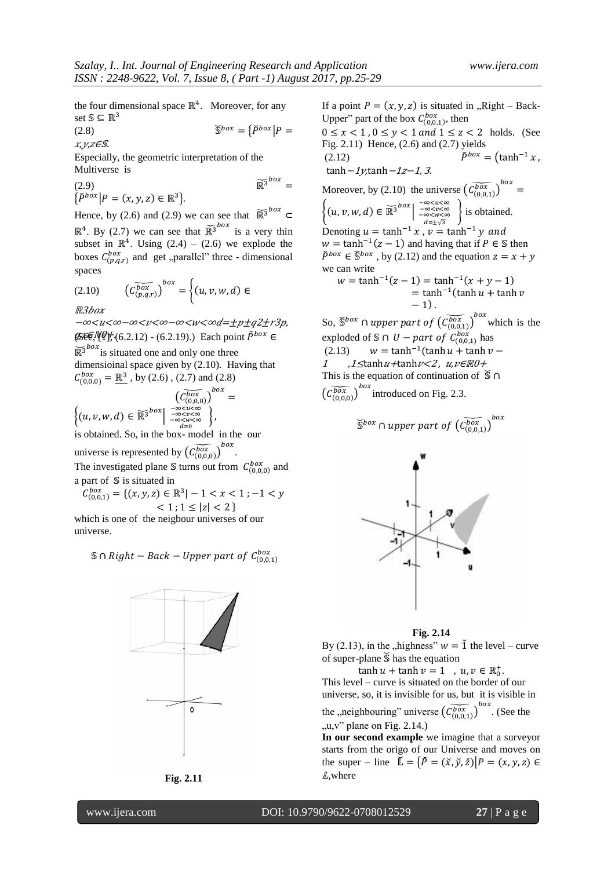$\epsilon$ 

the four dimensional space  $\mathbb{R}^4$ . Moreover, for any set  $\mathbb{S} \subseteq \mathbb{R}^3$ 

 $\check{\mathbb{S}}^{box} = {\{\check{P}}^{box} | P =$ (2.8)

 $x, y, z \in \mathcal{S}$ .

Especially, the geometric interpretation of the Multiverse is

(2.9)  $\int_{0}^{b}$  =  $\{\check{P}^{box} | P = (x, y, z) \in \mathbb{R}^3\}$ 

Hence, by (2.6) and (2.9) we can see that  $\widetilde{\mathbb{R}^3}^{box} \subset$  $\mathbb{R}^4$ . By (2.7) we can see that  $\mathbb{R}^3$ <sup>box</sup> is a very thin subset in  $\mathbb{R}^4$ . Using (2.4) – (2.6) we explode the boxes  $C_{(n,q,r)}^{box}$  and get "parallel" three - dimensional spaces

$$
(2.10) \qquad \left(\widetilde{C_{(p,q,r)}^{box}}\right)^{box} = \begin{cases} (u,v,w,d) \end{cases}
$$

 $R3box$ 

−∞<u<∞−∞<v<∞−∞<w<∞d=±p±q2±r3p, (SEE, NP† (6.2.12) - (6.2.19).) Each point  $\check{P}^{box}$  ∈

 $\widetilde{\mathbb{R}^3}^{box}$  is situated one and only one three dimensioinal space given by (2.10). Having that  $C_{(0,0,0)}^{box} = \mathbb{R}^3$ , by (2.6), (2.7) and (2.8)

$$
\begin{aligned}\n&\left(\widetilde{C_{(0,0,0)}^{box}}\right)^{box} = \\
&\left\{(u,v,w,d) \in \widetilde{\mathbb{R}^3}^{box}\left| \begin{array}{c}\frac{-\infty}{-\infty < u < \infty \\
-\infty < u < \infty \\
-\infty < w < \infty \\
\frac{d}{d} < u < \infty\n\end{array}\right\},\n\end{aligned}
$$

is obtained. So, in the box- model in the our universe is represented by  $(\widetilde{\mathcal{C}^{box}_{(0,0,0)}})^b$ 

. The investigated plane S turns out from  $C_{(0,0,0)}^{box}$  and a part of S is situated in

$$
C_{(0,0,1)}^{box} = \{(x,y,z) \in \mathbb{R}^3 | -1 < x < 1; -1 < y < 1; 1 \le |z| < 2 \}
$$

which is one of the neigbour universes of our universe.

 $\mathcal{S} \cap Right - Back - Upper$  part of  $C_{(0,0,1)}^{box}$ 





If a point  $P = (x, y, z)$  is situated in ,, Right – Back-Upper" part of the box  $C_{(0,0,1)}^{box}$ , then

 $0 \leq x < 1$ ,  $0 \leq y < 1$  and  $1 \leq z < 2$  holds. (See Fig. 2.11) Hence, (2.6) and (2.7) yields<br>  $(2.12)$   $\check{P}^{box} = (\tanh^{-1} x,$ (2.12)

tanh  $-1\gamma$ tanh  $-1z-1$ , 3.

Moreover, by (2.10) the universe  $\left(\overline{C_{(0,0,1)}^{box}}\right)^{box}$  $\left\{(u, v, w, d) \in \widetilde{\mathbb{R}^3}^{box} \middle| \begin{smallmatrix} -\infty \\ -\infty \\ -\infty \\ d \end{smallmatrix} \right.$  is obtained. Denoting  $u = \tanh^{-1} x$ ,  $v = \tanh^{-1} y$  and  $w = \tanh^{-1}(z - 1)$  and having that if  $P \in \mathbb{S}$  then  $\tilde{P}^{box} \in \tilde{S}^{box}$ , by (2.12) and the equation z we can write  $w = \tanh^{-1}(z - 1) = \tanh^{-1}(x + y - 1)$  $=$  tanh<sup>-1</sup>(  $-1$ ). So,  $\check{S}^{box} \cap upper$  part of  $(\check{C}_{(0,0,1)}^{box})^{box}$  which is the exploded of \$∩ *U* – *part of*  $C_{(0,0,1)}^{box}$  has

(2.13)  $w = \tanh^{-1}(\tanh u + \tanh v -$ 1  $1 \leq$ tanh  $u$ +tanh  $v <$ 2,  $u, v \in \mathbb{R}$ 0+ This is the equation of continuation of  $\mathcal{S} \cap$  $\left(\widetilde{C_{(0,0,0)}^{box}}\right)^{box}$  introduced on Fig. 2.3.

$$
\widetilde{\mathbb{S}}^{box} \cap upper\ part\ of\ \widetilde{\left(\widetilde{\mathcal{C}^{box}_{(0,0,1)}}\right)}^{box}
$$





By (2.13), in the "highness"  $w = \check{1}$  the level – curve of super-plane  $\mathcal S$  has the equation

 $\tanh u + \tanh v = 1$ ,  $u, v \in \mathbb{R}_0^+$ This level – curve is situated on the border of our universe, so, it is invisible for us, but it is visible in

the "neighbouring" universe  $(\widetilde{C_{(0,0,1)}^{box}})^{box}$ . (See the  $, u, v$ " plane on Fig. 2.14.)

**In our second example** we imagine that a surveyor starts from the origo of our Universe and moves on the super – line  $\mathbb{L} = {\{\check{P} = (\check{x}, \check{y}, \check{z}) | P = (x, y, z) \in \mathbb{L}\}\}$ L, where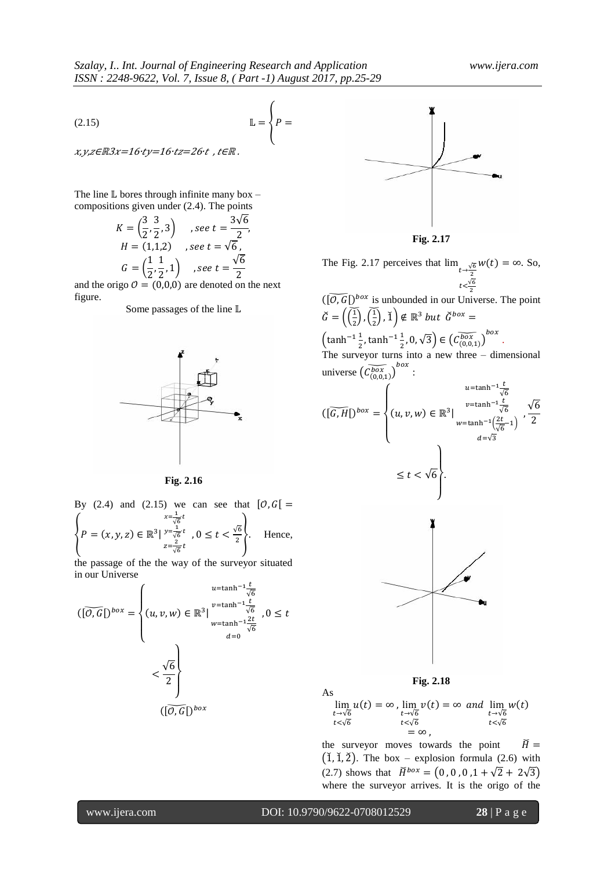$\sqrt{2}$ 

$$
\mathbb{L} = \left\{ P = \begin{cases} P = 0 & \text{if } P = 0 \end{cases} \right\}
$$

 $x, y, z \in \mathbb{R}3x = 16$ ·t $y = 16$ ·t $z = 26$ ·t, t $\in \mathbb{R}$ .

The line  $\mathbb L$  bores through infinite many box – compositions given under (2.4). The points

$$
K = \left(\frac{3}{2}, \frac{3}{2}, 3\right) \quad , see \ t = \frac{3\sqrt{6}}{2},
$$
  
\n
$$
H = (1, 1, 2) \quad , see \ t = \sqrt{6},
$$
  
\n
$$
G = \left(\frac{1}{2}, \frac{1}{2}, 1\right) \quad , see \ t = \frac{\sqrt{6}}{2}
$$

and the origo  $\mathcal{O} = (0,0,0)$  are denoted on the next figure.

Some passages of the line  $\mathbb L$ 



**Fig. 2.16**

By (2.4) and (2.15) we can see that 
$$
[0, G] =
$$
  
\n
$$
\begin{cases}\nx = \frac{1}{\sqrt{6}}t \\
P = (x, y, z) \in \mathbb{R}^3 | \frac{y = \frac{1}{\sqrt{6}}t}{z = \frac{2}{\sqrt{6}}}t, 0 \le t < \frac{\sqrt{6}}{2}.\n\end{cases}
$$
\nHence,

the passage of the the way of the surveyor situated in our Universe

$$
\left(\left[\overline{0, G}\right]^{box}\right) = \begin{cases} u = \tanh^{-1} \frac{t}{\sqrt{6}} \\ (u, v, w) \in \mathbb{R}^3 \Big|_{w = \tanh^{-1} \frac{2t}{\sqrt{6}}}^{v = \tanh^{-1} \frac{2t}{\sqrt{6}}} , 0 \le t \\ u = 0 \end{cases}
$$

$$
< \frac{\sqrt{6}}{2} \Bigg\}
$$

$$
\left(\left[\overline{0, G}\right]^{box}\right)
$$



**Fig. 2.17**

The Fig. 2.17 perceives that  $\lim_{t\to\frac{\sqrt{t}}{2}}$  $t < \frac{\sqrt{2}}{2}$  $w(t) = \infty$ . So,

 $(\widetilde{[O,G]}\big)^{box}$  is unbounded in our Universe. The point  $\check{G}=\left(\frac{1}{2}\right)$  $\left(\frac{1}{2}\right)$ ,  $\left(\frac{1}{2}\right)$  $\left(\frac{1}{2}\right)$ ,  $\check{1}\right) \notin \mathbb{R}^3$ 

 $\left(\tanh^{-1}\frac{1}{2}\right)$  $\frac{1}{2}$ , tanh<sup>-1</sup> $\frac{1}{2}$  $(\frac{1}{2},0,\sqrt{3}) \in (\widetilde{\mathcal{C}^{box}_{(0,0,1)}})^{box}$ . The surveyor turns into a new three – dimensional universe  $\left(\widetilde{C_{(0,0,1)}^{box}}\right)^{box}$ :





 $\frac{1}{t}$  $\boldsymbol{t}$  $u(t) = \infty$ ,  $\frac{1}{t}$  $\boldsymbol{t}$  $v(t) = \infty$  and  $\int_{t}$  $\boldsymbol{t}$  $\boldsymbol{w}$  $=\infty$ .

the surveyor moves towards the point  $\breve{H} =$  $(1, 1, 2)$ . The box – explosion formula (2.6) with (2.7) shows that  $\check{H}^{box} = (0, 0, 0, 1 + \sqrt{2} + 2\sqrt{3})$ where the surveyor arrives. It is the origo of the

As